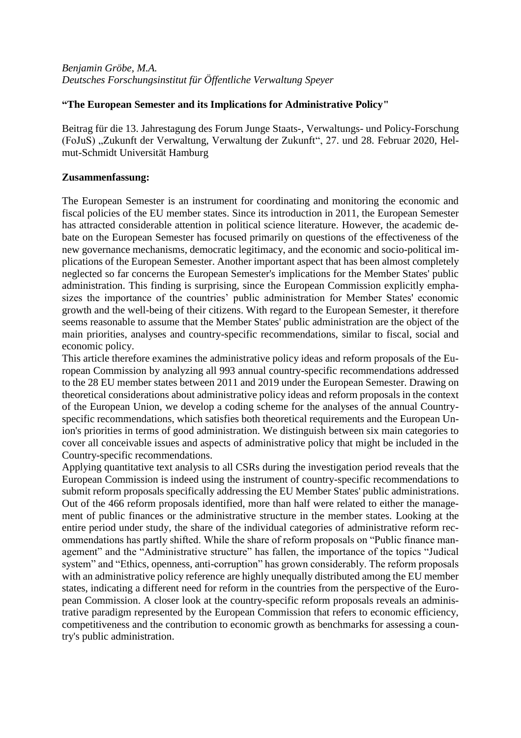## **"The European Semester and its Implications for Administrative Policy"**

Beitrag für die 13. Jahrestagung des Forum Junge Staats-, Verwaltungs- und Policy-Forschung (FoJuS) "Zukunft der Verwaltung, Verwaltung der Zukunft", 27. und 28. Februar 2020, Helmut-Schmidt Universität Hamburg

## **Zusammenfassung:**

The European Semester is an instrument for coordinating and monitoring the economic and fiscal policies of the EU member states. Since its introduction in 2011, the European Semester has attracted considerable attention in political science literature. However, the academic debate on the European Semester has focused primarily on questions of the effectiveness of the new governance mechanisms, democratic legitimacy, and the economic and socio-political implications of the European Semester. Another important aspect that has been almost completely neglected so far concerns the European Semester's implications for the Member States' public administration. This finding is surprising, since the European Commission explicitly emphasizes the importance of the countries' public administration for Member States' economic growth and the well-being of their citizens. With regard to the European Semester, it therefore seems reasonable to assume that the Member States' public administration are the object of the main priorities, analyses and country-specific recommendations, similar to fiscal, social and economic policy.

This article therefore examines the administrative policy ideas and reform proposals of the European Commission by analyzing all 993 annual country-specific recommendations addressed to the 28 EU member states between 2011 and 2019 under the European Semester. Drawing on theoretical considerations about administrative policy ideas and reform proposals in the context of the European Union, we develop a coding scheme for the analyses of the annual Countryspecific recommendations, which satisfies both theoretical requirements and the European Union's priorities in terms of good administration. We distinguish between six main categories to cover all conceivable issues and aspects of administrative policy that might be included in the Country-specific recommendations.

Applying quantitative text analysis to all CSRs during the investigation period reveals that the European Commission is indeed using the instrument of country-specific recommendations to submit reform proposals specifically addressing the EU Member States' public administrations. Out of the 466 reform proposals identified, more than half were related to either the management of public finances or the administrative structure in the member states. Looking at the entire period under study, the share of the individual categories of administrative reform recommendations has partly shifted. While the share of reform proposals on "Public finance management" and the "Administrative structure" has fallen, the importance of the topics "Judical system" and "Ethics, openness, anti-corruption" has grown considerably. The reform proposals with an administrative policy reference are highly unequally distributed among the EU member states, indicating a different need for reform in the countries from the perspective of the European Commission. A closer look at the country-specific reform proposals reveals an administrative paradigm represented by the European Commission that refers to economic efficiency, competitiveness and the contribution to economic growth as benchmarks for assessing a country's public administration.